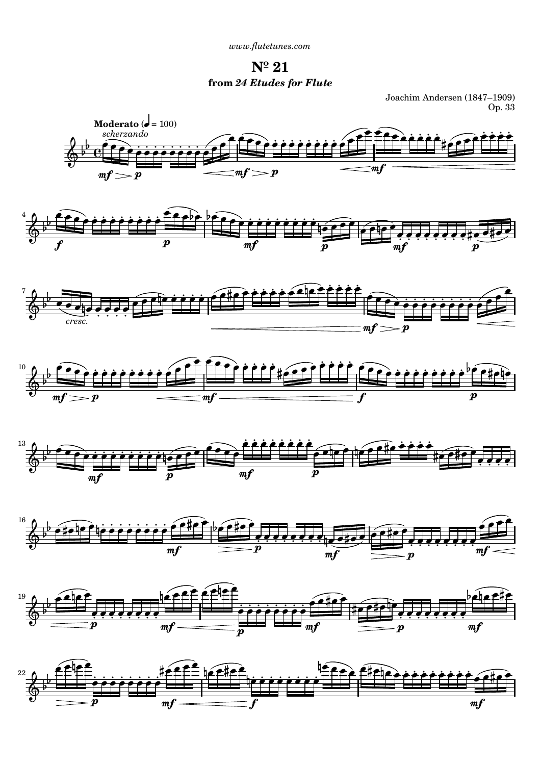*[www.flutetunes.com](http://www.flutetunes.com)* 

**Nº 21 from** *24 Etudes for Flute*

Joachim Andersen (1847–1909) Op. 33



4